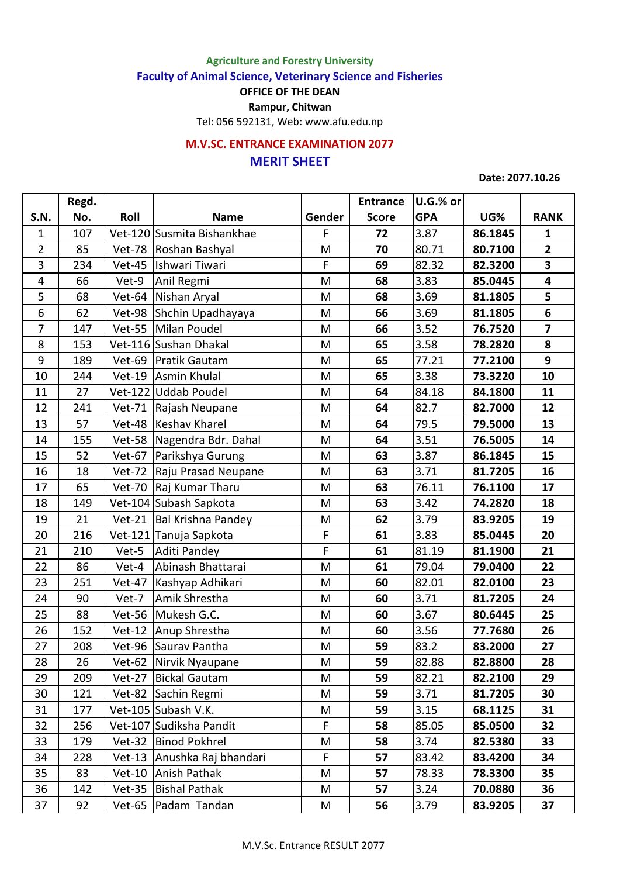**Agriculture and Forestry University**

**Faculty of Animal Science, Veterinary Science and Fisheries**

**OFFICE OF THE DEAN**

**Rampur, Chitwan**

Tel: 056 592131, Web: www.afu.edu.np

## **MERIT SHEET M.V.SC. ENTRANCE EXAMINATION 2077**

## **Date: 2077.10.26**

|                | Regd. |               |                            |        | <b>Entrance</b> | U.G.% or   |         |                         |
|----------------|-------|---------------|----------------------------|--------|-----------------|------------|---------|-------------------------|
| S.N.           | No.   | Roll          | <b>Name</b>                | Gender | <b>Score</b>    | <b>GPA</b> | UG%     | <b>RANK</b>             |
| $\mathbf{1}$   | 107   |               | Vet-120 Susmita Bishankhae | F      | 72              | 3.87       | 86.1845 | $\mathbf{1}$            |
| $\overline{2}$ | 85    | <b>Vet-78</b> | Roshan Bashyal             | M      | 70              | 80.71      | 80.7100 | $\overline{2}$          |
| 3              | 234   | Vet-45        | Ishwari Tiwari             | F      | 69              | 82.32      | 82.3200 | $\overline{\mathbf{3}}$ |
| 4              | 66    | Vet-9         | Anil Regmi                 | M      | 68              | 3.83       | 85.0445 | 4                       |
| 5              | 68    | Vet-64        | Nishan Aryal               | M      | 68              | 3.69       | 81.1805 | 5                       |
| 6              | 62    | Vet-98        | Shchin Upadhayaya          | M      | 66              | 3.69       | 81.1805 | 6                       |
| $\overline{7}$ | 147   | <b>Vet-55</b> | Milan Poudel               | M      | 66              | 3.52       | 76.7520 | $\overline{\mathbf{z}}$ |
| 8              | 153   |               | Vet-116 Sushan Dhakal      | M      | 65              | 3.58       | 78.2820 | 8                       |
| 9              | 189   | Vet-69        | <b>Pratik Gautam</b>       | M      | 65              | 77.21      | 77.2100 | 9                       |
| 10             | 244   | $Vert-19$     | Asmin Khulal               | M      | 65              | 3.38       | 73.3220 | 10                      |
| 11             | 27    |               | Vet-122 Uddab Poudel       | M      | 64              | 84.18      | 84.1800 | 11                      |
| 12             | 241   | <b>Vet-71</b> | Rajash Neupane             | M      | 64              | 82.7       | 82.7000 | 12                      |
| 13             | 57    | Vet-48        | Keshav Kharel              | M      | 64              | 79.5       | 79.5000 | 13                      |
| 14             | 155   | Vet-58        | Nagendra Bdr. Dahal        | M      | 64              | 3.51       | 76.5005 | 14                      |
| 15             | 52    | <b>Vet-67</b> | Parikshya Gurung           | M      | 63              | 3.87       | 86.1845 | 15                      |
| 16             | 18    | <b>Vet-72</b> | Raju Prasad Neupane        | M      | 63              | 3.71       | 81.7205 | 16                      |
| 17             | 65    | <b>Vet-70</b> | Raj Kumar Tharu            | M      | 63              | 76.11      | 76.1100 | 17                      |
| 18             | 149   |               | Vet-104 Subash Sapkota     | M      | 63              | 3.42       | 74.2820 | 18                      |
| 19             | 21    | $Vet-21$      | Bal Krishna Pandey         | M      | 62              | 3.79       | 83.9205 | 19                      |
| 20             | 216   |               | Vet-121 Tanuja Sapkota     | F      | 61              | 3.83       | 85.0445 | 20                      |
| 21             | 210   | Vet-5         | Aditi Pandey               | F      | 61              | 81.19      | 81.1900 | 21                      |
| 22             | 86    | Vet-4         | Abinash Bhattarai          | M      | 61              | 79.04      | 79.0400 | 22                      |
| 23             | 251   | Vet-47        | Kashyap Adhikari           | M      | 60              | 82.01      | 82.0100 | 23                      |
| 24             | 90    | Vet-7         | Amik Shrestha              | M      | 60              | 3.71       | 81.7205 | 24                      |
| 25             | 88    | Vet-56        | Mukesh G.C.                | M      | 60              | 3.67       | 80.6445 | 25                      |
| 26             | 152   | $Vert-12$     | Anup Shrestha              | M      | 60              | 3.56       | 77.7680 | 26                      |
| 27             | 208   | Vet-96        | Saurav Pantha              | M      | 59              | 83.2       | 83.2000 | 27                      |
| 28             | 26    |               | Vet-62 Nirvik Nyaupane     | M      | 59              | 82.88      | 82.8800 | 28                      |
| 29             | 209   | $Vet-27$      | <b>Bickal Gautam</b>       | M      | 59              | 82.21      | 82.2100 | 29                      |
| 30             | 121   |               | Vet-82 Sachin Regmi        | M      | 59              | 3.71       | 81.7205 | 30                      |
| 31             | 177   |               | Vet-105 Subash V.K.        | M      | 59              | 3.15       | 68.1125 | 31                      |
| 32             | 256   |               | Vet-107 Sudiksha Pandit    | F      | 58              | 85.05      | 85.0500 | 32                      |
| 33             | 179   | $Vet-32$      | <b>Binod Pokhrel</b>       | M      | 58              | 3.74       | 82.5380 | 33                      |
| 34             | 228   | $Vet-13$      | Anushka Raj bhandari       | F      | 57              | 83.42      | 83.4200 | 34                      |
| 35             | 83    | $Vet-10$      | Anish Pathak               | M      | 57              | 78.33      | 78.3300 | 35                      |
| 36             | 142   | $Vet-35$      | <b>Bishal Pathak</b>       | M      | 57              | 3.24       | 70.0880 | 36                      |
| 37             | 92    | Vet-65        | Padam Tandan               | M      | 56              | 3.79       | 83.9205 | 37                      |